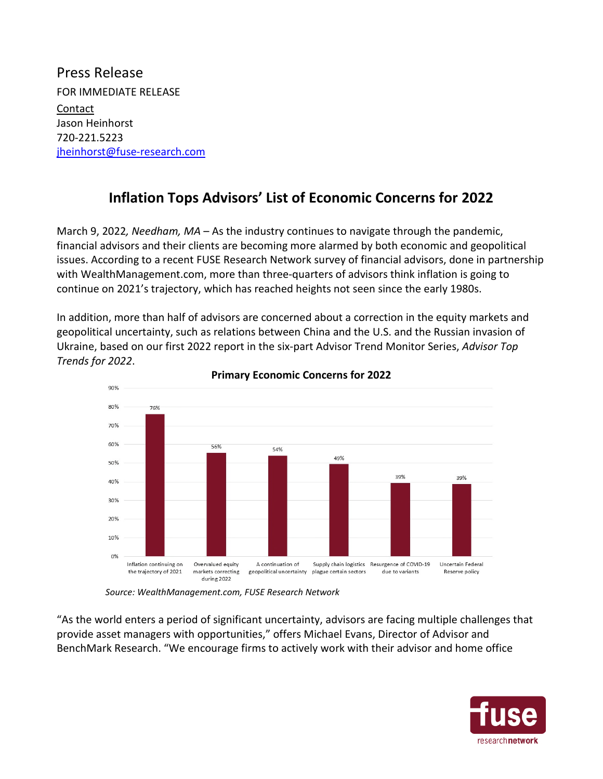Press Release FOR IMMEDIATE RELEASE Contact Jason Heinhorst 720-221.5223 jheinhorst@fuse-research.com

## **Inflation Tops Advisors' List of Economic Concerns for 2022**

March 9, 2022*, Needham, MA* – As the industry continues to navigate through the pandemic, financial advisors and their clients are becoming more alarmed by both economic and geopolitical issues. According to a recent FUSE Research Network survey of financial advisors, done in partnership with WealthManagement.com, more than three-quarters of advisors think inflation is going to continue on 2021's trajectory, which has reached heights not seen since the early 1980s.

In addition, more than half of advisors are concerned about a correction in the equity markets and geopolitical uncertainty, such as relations between China and the U.S. and the Russian invasion of Ukraine, based on our first 2022 report in the six-part Advisor Trend Monitor Series, *Advisor Top Trends for 2022*.



## **Primary Economic Concerns for 2022**

*Source: WealthManagement.com, FUSE Research Network* 

"As the world enters a period of significant uncertainty, advisors are facing multiple challenges that provide asset managers with opportunities," offers Michael Evans, Director of Advisor and BenchMark Research. "We encourage firms to actively work with their advisor and home office